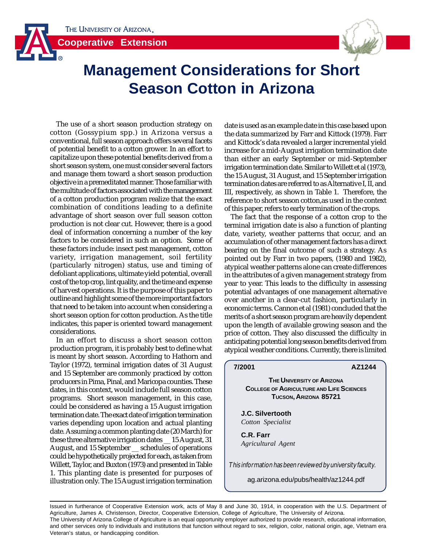



# **Management Considerations for Short Season Cotton in Arizona**

The use of a short season production strategy on cotton (Gossypium spp.) in Arizona versus a conventional, full season approach offers several facets of potential benefit to a cotton grower. In an effort to capitalize upon these potential benefits derived from a short season system, one must consider several factors and manage them toward a short season production objective in a premeditated manner. Those familiar with the multitude of factors associated with the management of a cotton production program realize that the exact combination of conditions leading to a definite advantage of short season over full season cotton production is not clear cut. However, there is a good deal of information concerning a number of the key factors to be considered in such an option. Some of these factors include: insect pest management, cotton variety, irrigation management, soil fertility (particularly nitrogen) status, use and timing of defoliant applications, ultimate yield potential, overall cost of the top crop, lint quality, and the time and expense of harvest operations. It is the purpose of this paper to outline and highlight some of the more important factors that need to be taken into account when considering a short season option for cotton production. As the title indicates, this paper is oriented toward management considerations.

In an effort to discuss a short season cotton production program, it is probably best to define what is meant by short season. According to Hathorn and Taylor (1972), terminal irrigation dates of 31 August and 15 September are commonly practiced by cotton producers in Pima, Pinal, and Maricopa counties. These dates, in this context, would include full season cotton programs. Short season management, in this case, could be considered as having a 15 August irrigation termination date. The exact date of irrigation termination varies depending upon location and actual planting date. Assuming a common planting date (20 March) for these three alternative irrigation dates \_\_ 15 August, 31 August, and 15 September \_\_ schedules of operations could be hypothetically projected for each, as taken from Willett, Taylor, and Buxton (1973) and presented in Table 1. This planting date is presented for purposes of illustration only. The 15 August irrigation termination

date is used as an example date in this case based upon the data summarized by Farr and Kittock (1979). Farr and Kittock's data revealed a larger incremental yield increase for a mid-August irrigation termination date than either an early September or mid-September irrigation termination date. Similar to Willett et al (1973), the 15 August, 31 August, and 15 September irrigation termination dates are referred to as Alternative I, II, and III, respectively, as shown in Table 1. Therefore, the reference to short season cotton,as used in the context of this paper, refers to early termination of the crops.

The fact that the response of a cotton crop to the terminal irrigation date is also a function of planting date, variety, weather patterns that occur, and an accumulation of other management factors has a direct bearing on the final outcome of such a strategy. As pointed out by Farr in two papers, (1980 and 1982), atypical weather patterns alone can create differences in the attributes of a given management strategy from year to year. This leads to the difficulty in assessing potential advantages of one management alternative over another in a clear-cut fashion, particularly in economic terms. Cannon et al (1981) concluded that the merits of a short season program are heavily dependent upon the length of available growing season and the price of cotton. They also discussed the difficulty in anticipating potential long season benefits derived from atypical weather conditions. Currently, there is limited

#### **7/2001 AZ1244**

**THE UNIVERSITY OF ARIZONA COLLEGE OF AGRICULTURE AND LIFE SCIENCES TUCSON, ARIZONA 85721**

**J.C. Silvertooth** *Cotton Specialist*

**C.R. Farr** *Agricultural Agent*

This information has been reviewed by university faculty.

ag.arizona.edu/pubs/health/az1244.pdf

Issued in furtherance of Cooperative Extension work, acts of May 8 and June 30, 1914, in cooperation with the U.S. Department of Agriculture, James A. Christenson, Director, Cooperative Extension, College of Agriculture, The University of Arizona. The University of Arizona College of Agriculture is an equal opportunity employer authorized to provide research, educational information, and other services only to individuals and institutions that function without regard to sex, religion, color, national origin, age, Vietnam era Veteran's status, or handicapping condition.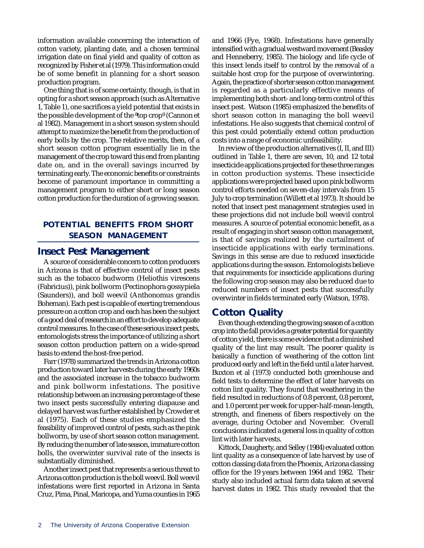information available concerning the interaction of cotton variety, planting date, and a chosen terminal irrigation date on final yield and quality of cotton as recognized by Fisher et al (1979). This information could be of some benefit in planning for a short season production program.

One thing that is of some certainty, though, is that in opting for a short season approach (such as Alternative 1, Table 1), one sacrifices a yield potential that exists in the possible development of the ªtop cropº (Cannon et al 1982). Management in a short season system should attempt to maximize the benefit from the production of early bolls by the crop. The relative merits, then, of a short season cotton program essentially lie in the management of the crop toward this end from planting date on, and in the overall savings incurred by terminating early. The economic benefits or constraints become of paramount importance in committing a management program to either short or long season cotton production for the duration of a growing season.

## **POTENTIAL BENEFITS FROM SHORT SEASON MANAGEMENT**

#### **Insect Pest Management**

A source of considerable concern to cotton producers in Arizona is that of effective control of insect pests such as the tobacco budworm (Heliothis virescens (Fabricius)), pink bollworm (Pectinophora gossypiela (Saunders)), and boll weevil (Anthonomus grandis Boheman). Each pest is capable of exerting tremendous pressure on a cotton crop and each has been the subject of a good deal of research in an effort to develop adequate control measures. In the case of these serious insect pests, entomologists stress the importance of utilizing a short season cotton production pattern on a wide-spread basis to extend the host-free period.

Farr (1978) summarized the trends in Arizona cotton production toward later harvests during the early 1960s and the associated increase in the tobacco budworm and pink bollworm infestations. The positive relationship between an increasing percentage of these two insect pests successfully entering diapause and delayed harvest was further established by Crowder et al (1975). Each of these studies emphasized the feasibility of improved control of pests, such as the pink bollworm, by use of short season cotton management. By reducing the number of late season, immature cotton bolls, the overwinter survival rate of the insects is substantially diminished.

Another insect pest that represents a serious threat to Arizona cotton production is the boll weevil. Boll weevil infestations were first reported in Arizona in Santa Cruz, Pima, Pinal, Maricopa, and Yuma counties in 1965

and 1966 (Fye, 1968). Infestations have generally intensified with a gradual westward movement (Beasley and Henneberry, 1985). The biology and life cycle of this insect lends itself to control by the removal of a suitable host crop for the purpose of overwintering. Again, the practice of shorter season cotton management is regarded as a particularly effective means of implementing both short- and long-term control of this insect pest. Watson (1985) emphasized the benefits of short season cotton in managing the boll weevil infestations. He also suggests that chemical control of this pest could potentially extend cotton production costs into a range of economic unfeasibility.

In review of the production alternatives (I, II, and III) outlined in Table 1, there are seven, 10, and 12 total insecticide applications projected for these three ranges in cotton production systems. These insecticide applications were projected based upon pink bollworm control efforts needed on seven-day intervals from 15 July to crop termination (Willett et al 1973). It should be noted that insect pest management strategies used in these projections did not include boll weevil control measures. A source of potential economic benefit, as a result of engaging in short season cotton management, is that of savings realized by the curtailment of insecticide applications with early terminations. Savings in this sense are due to reduced insecticide applications during the season. Entomologists believe that requirements for insecticide applications during the following crop season may also be reduced due to reduced numbers of insect pests that successfully overwinter in fields terminated early (Watson, 1978).

## **Cotton Quality**

Even though extending the growing season of a cotton crop into the fall provides a greater potential for quantity of cotton yield, there is some evidence that a diminished quality of the lint may result. The poorer quality is basically a function of weathering of the cotton lint produced early and left in the field until a later harvest. Buxton et al (1973) conducted both greenhouse and field tests to determine the effect of later harvests on cotton lint quality. They found that weathering in the field resulted in reductions of 0.8 percent, 0.8 percent, and 1.0 percent per week for upper-half-mean-length, strength, and fineness of fibers respectively on the average, during October and November. Overall conclusions indicated a general loss in quality of cotton lint with later harvests.

Kittock, Daugherty, and Selley (1984) evaluated cotton lint quality as a consequence of late harvest by use of cotton classing data from the Phoenix, Arizona classing office for the 19 years between 1964 and 1982. Their study also included actual farm data taken at several harvest dates in 1982. This study revealed that the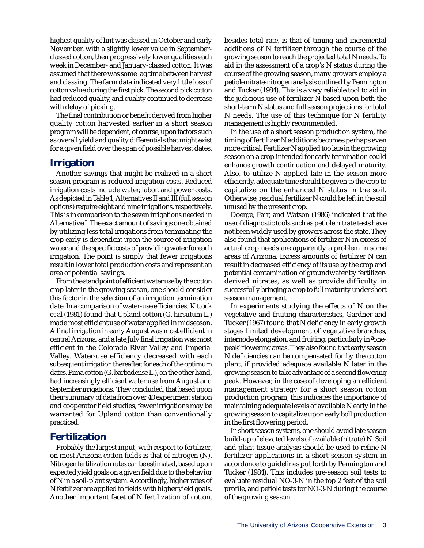highest quality of lint was classed in October and early November, with a slightly lower value in Septemberclassed cotton, then progressively lower qualities each week in December- and January-classed cotton. It was assumed that there was some lag time between harvest and classing. The farm data indicated very little loss of cotton value during the first pick. The second pick cotton had reduced quality, and quality continued to decrease with delay of picking.

The final contribution or benefit derived from higher quality cotton harvested earlier in a short season program will be dependent, of course, upon factors such as overall yield and quality differentials that might exist for a given field over the span of possible harvest dates.

## **Irrigation**

Another savings that might be realized in a short season program is reduced irrigation costs. Reduced irrigation costs include water, labor, and power costs. As depicted in Table 1, Alternatives II and III (full season options) require eight and nine irrigations, respectively. This is in comparison to the seven irrigations needed in Alternative I. The exact amount of savings one obtained by utilizing less total irrigations from terminating the crop early is dependent upon the source of irrigation water and the specific costs of providing water for each irrigation. The point is simply that fewer irrigations result in lower total production costs and represent an area of potential savings.

From the standpoint of efficient water use by the cotton crop later in the growing season, one should consider this factor in the selection of an irrigation termination date. In a comparison of water-use efficiencies, Kittock et al (1981) found that Upland cotton (G. hirsutum L.) made most efficient use of water applied in midseason. A final irrigation in early August was most efficient in central Arizona, and a late July final irrigation was most efficient in the Colorado River Valley and Imperial Valley. Water-use efficiency decreased with each subsequent irrigation thereafter, for each of the optimum dates. Pima cotton (G. barbadense L.), on the other hand, had increasingly efficient water use from August and September irrigations. They concluded, that based upon their summary of data from over 40 experiment station and cooperator field studies, fewer irrigations may be warranted for Upland cotton than conventionally practiced.

# **Fertilization**

Probably the largest input, with respect to fertilizer, on most Arizona cotton fields is that of nitrogen (N). Nitrogen fertilization rates can be estimated, based upon expected yield goals on a given field due to the behavior of N in a soil-plant system. Accordingly, higher rates of N fertilizer are applied to fields with higher yield goals. Another important facet of N fertilization of cotton,

besides total rate, is that of timing and incremental additions of N fertilizer through the course of the growing season to reach the projected total N needs. To aid in the assessment of a crop's N status during the course of the growing season, many growers employ a petiole nitrate-nitrogen analysis outlined by Pennington and Tucker (1984). This is a very reliable tool to aid in the judicious use of fertilizer N based upon both the short-term N status and full season projections for total N needs. The use of this technique for N fertility management is highly recommended.

In the use of a short season production system, the timing of fertilizer N additions becomes perhaps even more critical. Fertilizer N applied too late in the growing season on a crop intended for early termination could enhance growth continuation and delayed maturity. Also, to utilize N applied late in the season more efficiently, adequate time should be given to the crop to capitalize on the enhanced N status in the soil. Otherwise, residual fertilizer N could be left in the soil unused by the present crop.

Doerge, Farr, and Watson (1986) indicated that the use of diagnostic tools such as petiole nitrate tests have not been widely used by growers across the state. They also found that applications of fertilizer N in excess of actual crop needs are apparently a problem in some areas of Arizona. Excess amounts of fertilizer N can result in decreased efficiency of its use by the crop and potential contamination of groundwater by fertilizerderived nitrates, as well as provide difficulty in successfully bringing a crop to full maturity under short season management.

In experiments studying the effects of N on the vegetative and fruiting characteristics, Gardner and Tucker (1967) found that N deficiency in early growth stages limited development of vegetative branches, internode elongation, and fruiting, particularly in ªonepeakº flowering areas. They also found that early season N deficiencies can be compensated for by the cotton plant, if provided adequate available N later in the growing season to take advantage of a second flowering peak. However, in the case of developing an efficient management strategy for a short season cotton production program, this indicates the importance of maintaining adequate levels of available N early in the growing season to capitalize upon early boll production in the first flowering period.

In short season systems, one should avoid late season build-up of elevated levels of available (nitrate) N. Soil and plant tissue analysis should be used to refine N fertilizer applications in a short season system in accordance to guidelines put forth by Pennington and Tucker (1984). This includes pre-season soil tests to evaluate residual NO-3-N in the top 2 feet of the soil profile, and petiole tests for NO-3-N during the course of the growing season.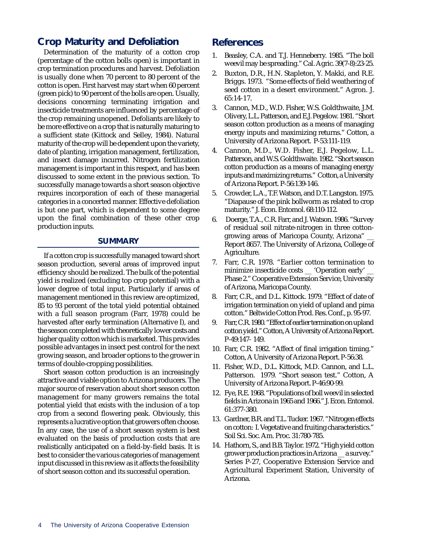## **Crop Maturity and Defoliation**

Determination of the maturity of a cotton crop (percentage of the cotton bolls open) is important in crop termination procedures and harvest. Defoliation is usually done when 70 percent to 80 percent of the cotton is open. First harvest may start when 60 percent (green pick) to 90 percent of the bolls are open. Usually, decisions concerning terminating irrigation and insecticide treatments are influenced by percentage of the crop remaining unopened. Defoliants are likely to be more effective on a crop that is naturally maturing to a sufficient state (Kittock and Selley, 1984). Natural maturity of the crop will be dependent upon the variety, date of planting, irrigation management, fertilization, and insect damage incurred. Nitrogen fertilization management is important in this respect, and has been discussed to some extent in the previous section. To successfully manage towards a short season objective requires incorporation of each of these managerial categories in a concerted manner. Effective defoliation is but one part, which is dependent to some degree upon the final combination of these other crop production inputs.

#### **SUMMARY**

If a cotton crop is successfully managed toward short season production, several areas of improved input efficiency should be realized. The bulk of the potential yield is realized (excluding top crop potential) with a lower degree of total input. Particularly if areas of management mentioned in this review are optimized, 85 to 93 percent of the total yield potential obtained with a full season program (Farr, 1978) could be harvested after early termination (Alternative I), and the season completed with theoretically lower costs and higher quality cotton which is marketed. This provides possible advantages in insect pest control for the next growing season, and broader options to the grower in terms of double-cropping possibilities.

Short season cotton production is an increasingly attractive and viable option to Arizona producers. The major source of reservation about short season cotton management for many growers remains the total potential yield that exists with the inclusion of a top crop from a second flowering peak. Obviously, this represents a lucrative option that growers often choose. In any case, the use of a short season system is best evaluated on the basis of production costs that are realistically anticipated on a field-by-field basis. It is best to consider the various categories of management input discussed in this review as it affects the feasibility of short season cotton and its successful operation.

#### **References**

- 1. Beasley, C.A. and T.J. Henneberry. 1985. "The boll weevil may be spreading." Cal. Agric. 39(7-8):23-25.
- 2. Buxton, D.R., H.N. Stapleton, Y. Makki, and R.E. Briggs. 1973. "Some effects of field weathering of seed cotton in a desert environment." Agron. J. 65:14-17.
- 3. Cannon, M.D., W.D. Fisher, W.S. Goldthwaite, J.M. Olivery, L.L. Patterson, and E.J. Pegelow. 1981. "Short season cotton production as a means of managing energy inputs and maximizing returns." Cotton, a University of Arizona Report. P-53:111-119.
- 4. Cannon, M.D., W.D. Fisher, E.J. Pegelow, L.L. Patterson, and W.S. Goldthwaite. 1982. "Short season cotton production as a means of managing energy inputs and maximizing returns." Cotton, a University of Arizona Report. P-56:139-146.
- 5. Crowder, L.A., T.F. Watson, and D.T. Langston. 1975. "Diapause of the pink bollworm as related to crop maturity." J. Econ. Entomol. 68:110-112.
- 6. Doerge, T.A., C.R. Farr, and J. Watson. 1986. "Survey of residual soil nitrate-nitrogen in three cottongrowing areas of Maricopa County, Arizona" \_\_ Report 8657. The University of Arizona, College of Agriculture.
- 7. Farr, C.R. 1978. "Earlier cotton termination to minimize insecticide costs \_ 'Operation early' Phase 2." Cooperative Extension Service, University of Arizona, Maricopa County.
- 8. Farr, C.R., and D.L. Kittock. 1979. "Effect of date of irrigation termination on yield of upland and pima cotton." Beltwide Cotton Prod. Res. Conf., p. 95-97.
- 9. Farr, C.R. 1980. "Effect of earlier termination on upland cotton yield." Cotton, A University of Arizona Report. P-49:147- 149.
- 10. Farr, C.R. 1982. "Affect of final irrigation timing." Cotton, A University of Arizona Report. P-56:38.
- 11. Fisher, W.D., D.L. Kittock, M.D. Cannon, and L.L. Patterson. 1979. "Short season test." Cotton, A University of Arizona Report. P-46:90-99.
- 12. Fye, R.E. 1968. "Populations of boll weevil in selected fields in Arizona in 1965 and 1966." J. Econ. Entomol. 61:377-380.
- 13. Gardner, B.R. and T.L. Tucker. 1967. "Nitrogen effects on cotton: I. Vegetative and fruiting characteristics." Soil Sci. Soc. Am. Proc. 31:780-785.
- 14. Hathorn, S., and B.B. Taylor. 1972. "High yield cotton grower production practices in Arizona \_\_ a survey." Series P-27, Cooperative Extension Service and Agricultural Experiment Station, University of Arizona.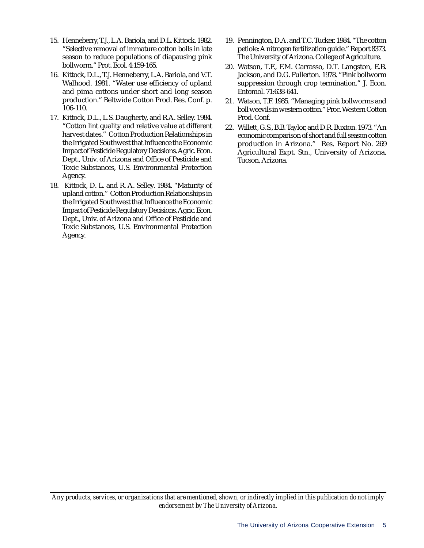- 15. Henneberry, T.J., L.A. Bariola, and D.L. Kittock. 1982. "Selective removal of immature cotton bolls in late season to reduce populations of diapausing pink bollworm." Prot. Ecol. 4:159-165.
- 16. Kittock, D.L., T.J. Henneberry, L.A. Bariola, and V.T. Walhood. 1981. "Water use efficiency of upland and pima cottons under short and long season production." Beltwide Cotton Prod. Res. Conf. p. 106-110.
- 17. Kittock, D.L., L.S. Daugherty, and R.A. Selley. 1984. "Cotton lint quality and relative value at different harvest dates." Cotton Production Relationships in the Irrigated Southwest that Influence the Economic Impact of Pesticide Regulatory Decisions. Agric. Econ. Dept., Univ. of Arizona and Office of Pesticide and Toxic Substances, U.S. Environmental Protection Agency.
- 18. Kittock, D. L. and R. A. Selley. 1984. "Maturity of upland cotton." Cotton Production Relationships in the Irrigated Southwest that Influence the Economic Impact of Pesticide Regulatory Decisions. Agric. Econ. Dept., Univ. of Arizona and Office of Pesticide and Toxic Substances, U.S. Environmental Protection Agency.
- 19. Pennington, D.A. and T.C. Tucker. 1984. "The cotton petiole: A nitrogen fertilization guide." Report 8373. The University of Arizona. College of Agriculture.
- 20. Watson, T.F., F.M. Carrasso, D.T. Langston, E.B. Jackson, and D.G. Fullerton. 1978. "Pink bollworm suppression through crop termination." J. Econ. Entomol. 71:638-641.
- 21. Watson, T.F. 1985. "Managing pink bollworms and boll weevils in western cotton." Proc. Western Cotton Prod. Conf.
- 22. Willett, G.S., B.B. Taylor, and D.R. Buxton. 1973. "An economic comparison of short and full season cotton production in Arizona." Res. Report No. 269 Agricultural Expt. Stn., University of Arizona, Tucson, Arizona.

*Any products, services, or organizations that are mentioned, shown, or indirectly implied in this publication do not imply endorsement by The University of Arizona.*